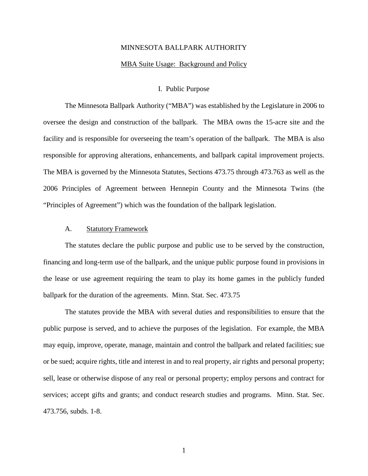# MINNESOTA BALLPARK AUTHORITY MBA Suite Usage: Background and Policy

## I. Public Purpose

The Minnesota Ballpark Authority ("MBA") was established by the Legislature in 2006 to oversee the design and construction of the ballpark. The MBA owns the 15-acre site and the facility and is responsible for overseeing the team's operation of the ballpark. The MBA is also responsible for approving alterations, enhancements, and ballpark capital improvement projects. The MBA is governed by the Minnesota Statutes, Sections 473.75 through 473.763 as well as the 2006 Principles of Agreement between Hennepin County and the Minnesota Twins (the "Principles of Agreement") which was the foundation of the ballpark legislation.

## A. Statutory Framework

The statutes declare the public purpose and public use to be served by the construction, financing and long-term use of the ballpark, and the unique public purpose found in provisions in the lease or use agreement requiring the team to play its home games in the publicly funded ballpark for the duration of the agreements. Minn. Stat. Sec. 473.75

The statutes provide the MBA with several duties and responsibilities to ensure that the public purpose is served, and to achieve the purposes of the legislation. For example, the MBA may equip, improve, operate, manage, maintain and control the ballpark and related facilities; sue or be sued; acquire rights, title and interest in and to real property, air rights and personal property; sell, lease or otherwise dispose of any real or personal property; employ persons and contract for services; accept gifts and grants; and conduct research studies and programs. Minn. Stat. Sec. 473.756, subds. 1-8.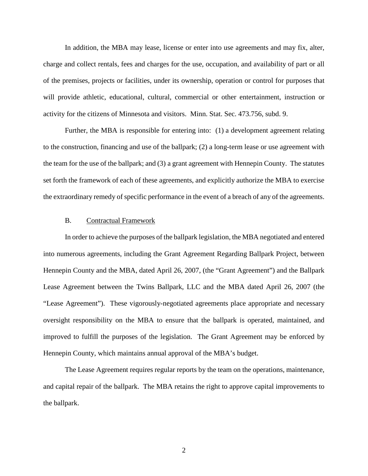In addition, the MBA may lease, license or enter into use agreements and may fix, alter, charge and collect rentals, fees and charges for the use, occupation, and availability of part or all of the premises, projects or facilities, under its ownership, operation or control for purposes that will provide athletic, educational, cultural, commercial or other entertainment, instruction or activity for the citizens of Minnesota and visitors. Minn. Stat. Sec. 473.756, subd. 9.

Further, the MBA is responsible for entering into: (1) a development agreement relating to the construction, financing and use of the ballpark; (2) a long-term lease or use agreement with the team for the use of the ballpark; and (3) a grant agreement with Hennepin County. The statutes set forth the framework of each of these agreements, and explicitly authorize the MBA to exercise the extraordinary remedy of specific performance in the event of a breach of any of the agreements.

### B. Contractual Framework

In order to achieve the purposes of the ballpark legislation, the MBA negotiated and entered into numerous agreements, including the Grant Agreement Regarding Ballpark Project, between Hennepin County and the MBA, dated April 26, 2007, (the "Grant Agreement") and the Ballpark Lease Agreement between the Twins Ballpark, LLC and the MBA dated April 26, 2007 (the "Lease Agreement"). These vigorously-negotiated agreements place appropriate and necessary oversight responsibility on the MBA to ensure that the ballpark is operated, maintained, and improved to fulfill the purposes of the legislation. The Grant Agreement may be enforced by Hennepin County, which maintains annual approval of the MBA's budget.

The Lease Agreement requires regular reports by the team on the operations, maintenance, and capital repair of the ballpark. The MBA retains the right to approve capital improvements to the ballpark.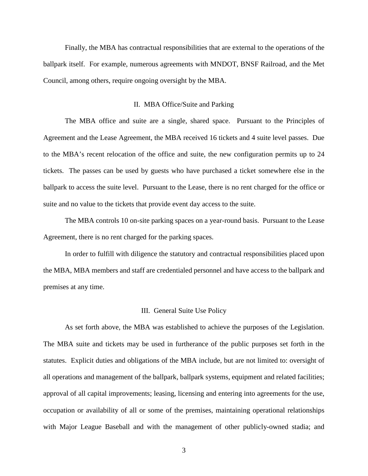Finally, the MBA has contractual responsibilities that are external to the operations of the ballpark itself. For example, numerous agreements with MNDOT, BNSF Railroad, and the Met Council, among others, require ongoing oversight by the MBA.

#### II. MBA Office/Suite and Parking

The MBA office and suite are a single, shared space. Pursuant to the Principles of Agreement and the Lease Agreement, the MBA received 16 tickets and 4 suite level passes. Due to the MBA's recent relocation of the office and suite, the new configuration permits up to 24 tickets. The passes can be used by guests who have purchased a ticket somewhere else in the ballpark to access the suite level. Pursuant to the Lease, there is no rent charged for the office or suite and no value to the tickets that provide event day access to the suite.

The MBA controls 10 on-site parking spaces on a year-round basis. Pursuant to the Lease Agreement, there is no rent charged for the parking spaces.

In order to fulfill with diligence the statutory and contractual responsibilities placed upon the MBA, MBA members and staff are credentialed personnel and have access to the ballpark and premises at any time.

#### III. General Suite Use Policy

As set forth above, the MBA was established to achieve the purposes of the Legislation. The MBA suite and tickets may be used in furtherance of the public purposes set forth in the statutes. Explicit duties and obligations of the MBA include, but are not limited to: oversight of all operations and management of the ballpark, ballpark systems, equipment and related facilities; approval of all capital improvements; leasing, licensing and entering into agreements for the use, occupation or availability of all or some of the premises, maintaining operational relationships with Major League Baseball and with the management of other publicly-owned stadia; and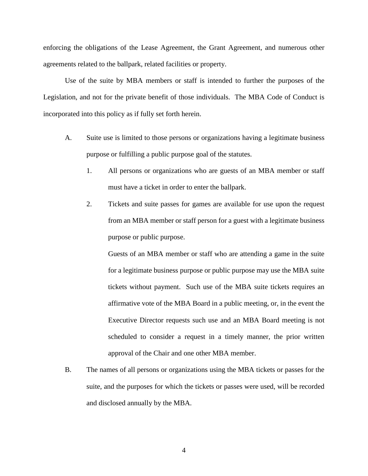enforcing the obligations of the Lease Agreement, the Grant Agreement, and numerous other agreements related to the ballpark, related facilities or property.

Use of the suite by MBA members or staff is intended to further the purposes of the Legislation, and not for the private benefit of those individuals. The MBA Code of Conduct is incorporated into this policy as if fully set forth herein.

- A. Suite use is limited to those persons or organizations having a legitimate business purpose or fulfilling a public purpose goal of the statutes.
	- 1. All persons or organizations who are guests of an MBA member or staff must have a ticket in order to enter the ballpark.
	- 2. Tickets and suite passes for games are available for use upon the request from an MBA member or staff person for a guest with a legitimate business purpose or public purpose.

Guests of an MBA member or staff who are attending a game in the suite for a legitimate business purpose or public purpose may use the MBA suite tickets without payment. Such use of the MBA suite tickets requires an affirmative vote of the MBA Board in a public meeting, or, in the event the Executive Director requests such use and an MBA Board meeting is not scheduled to consider a request in a timely manner, the prior written approval of the Chair and one other MBA member.

B. The names of all persons or organizations using the MBA tickets or passes for the suite, and the purposes for which the tickets or passes were used, will be recorded and disclosed annually by the MBA.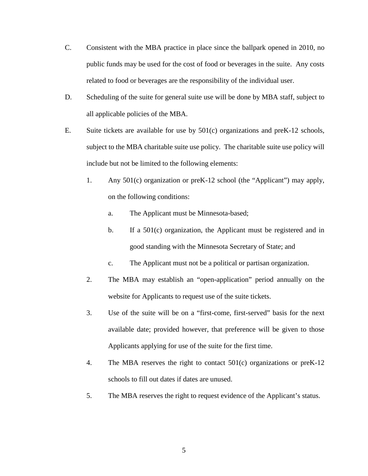- C. Consistent with the MBA practice in place since the ballpark opened in 2010, no public funds may be used for the cost of food or beverages in the suite. Any costs related to food or beverages are the responsibility of the individual user.
- D. Scheduling of the suite for general suite use will be done by MBA staff, subject to all applicable policies of the MBA.
- E. Suite tickets are available for use by 501(c) organizations and preK-12 schools, subject to the MBA charitable suite use policy. The charitable suite use policy will include but not be limited to the following elements:
	- 1. Any 501(c) organization or preK-12 school (the "Applicant") may apply, on the following conditions:
		- a. The Applicant must be Minnesota-based;
		- b. If a 501(c) organization, the Applicant must be registered and in good standing with the Minnesota Secretary of State; and
		- c. The Applicant must not be a political or partisan organization.
	- 2. The MBA may establish an "open-application" period annually on the website for Applicants to request use of the suite tickets.
	- 3. Use of the suite will be on a "first-come, first-served" basis for the next available date; provided however, that preference will be given to those Applicants applying for use of the suite for the first time.
	- 4. The MBA reserves the right to contact 501(c) organizations or preK-12 schools to fill out dates if dates are unused.
	- 5. The MBA reserves the right to request evidence of the Applicant's status.